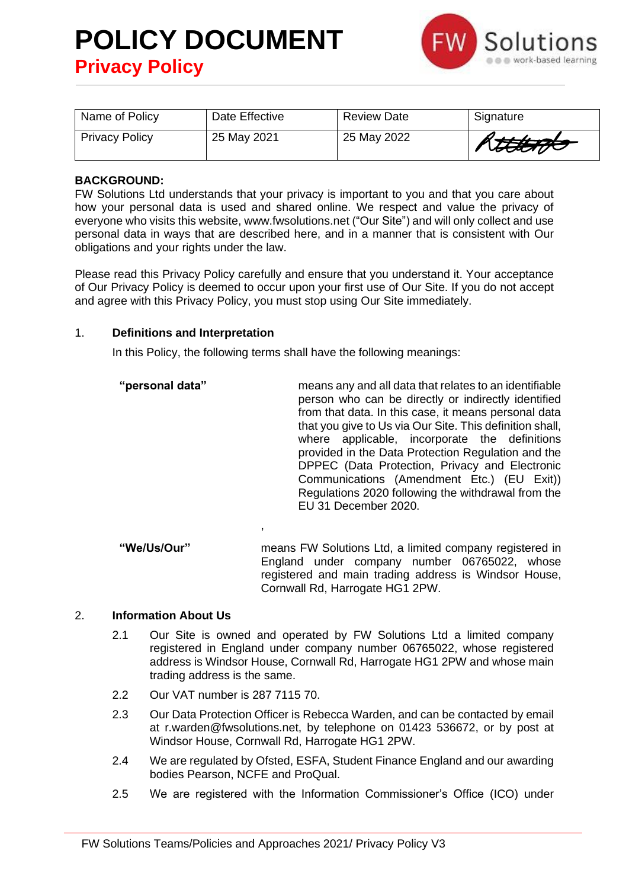

| Name of Policy        | Date Effective | <b>Review Date</b> | Signature             |
|-----------------------|----------------|--------------------|-----------------------|
| <b>Privacy Policy</b> | 25 May 2021    | 25 May 2022        | Rttt <del>t 176</del> |

## **BACKGROUND:**

FW Solutions Ltd understands that your privacy is important to you and that you care about how your personal data is used and shared online. We respect and value the privacy of everyone who visits this website, www.fwsolutions.net ("Our Site") and will only collect and use personal data in ways that are described here, and in a manner that is consistent with Our obligations and your rights under the law.

Please read this Privacy Policy carefully and ensure that you understand it. Your acceptance of Our Privacy Policy is deemed to occur upon your first use of Our Site. If you do not accept and agree with this Privacy Policy, you must stop using Our Site immediately.

#### 1. **Definitions and Interpretation**

In this Policy, the following terms shall have the following meanings:

,

- **"personal data"** means any and all data that relates to an identifiable person who can be directly or indirectly identified from that data. In this case, it means personal data that you give to Us via Our Site. This definition shall, where applicable, incorporate the definitions provided in the Data Protection Regulation and the [DPPEC \(Data Protection, Privacy and Electronic](https://www.legislation.gov.uk/uksi/2019/419/contents/made)  [Communications \(Amendment Etc.\) \(EU Exit\)\)](https://www.legislation.gov.uk/uksi/2019/419/contents/made)  [Regulations 2020](https://www.legislation.gov.uk/uksi/2019/419/contents/made) following the withdrawal from the EU 31 December 2020.
- **"We/Us/Our"** means FW Solutions Ltd, a limited company registered in England under company number 06765022, whose registered and main trading address is Windsor House, Cornwall Rd, Harrogate HG1 2PW.

## 2. **Information About Us**

- 2.1 Our Site is owned and operated by FW Solutions Ltd a limited company registered in England under company number 06765022, whose registered address is Windsor House, Cornwall Rd, Harrogate HG1 2PW and whose main trading address is the same.
- 2.2 Our VAT number is 287 7115 70.
- 2.3 Our Data Protection Officer is Rebecca Warden, and can be contacted by email at r.warden@fwsolutions.net, by telephone on 01423 536672, or by post at Windsor House, Cornwall Rd, Harrogate HG1 2PW.
- 2.4 We are regulated by Ofsted, ESFA, Student Finance England and our awarding bodies Pearson, NCFE and ProQual.
- 2.5 We are registered with the Information Commissioner's Office (ICO) under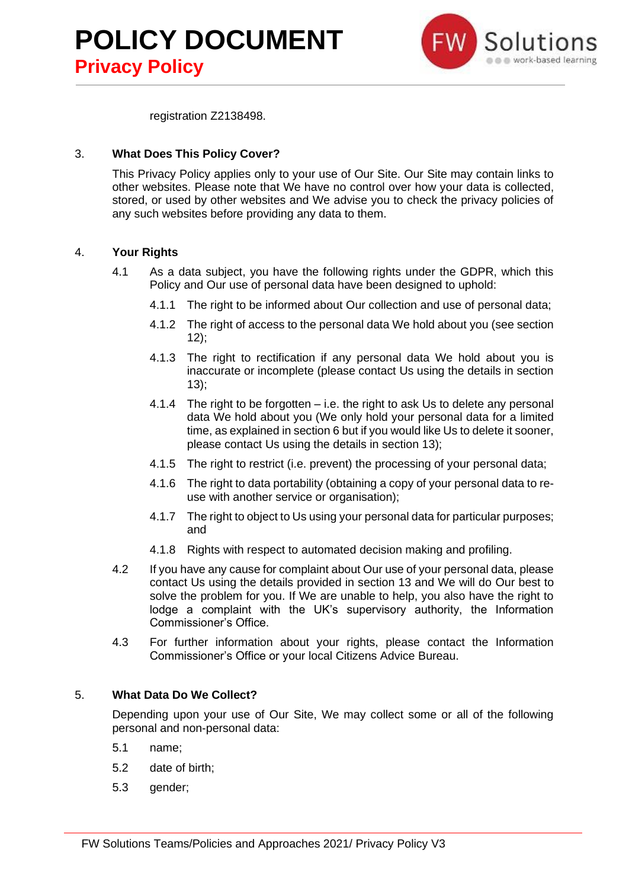



registration Z2138498.

## 3. **What Does This Policy Cover?**

This Privacy Policy applies only to your use of Our Site. Our Site may contain links to other websites. Please note that We have no control over how your data is collected, stored, or used by other websites and We advise you to check the privacy policies of any such websites before providing any data to them.

## 4. **Your Rights**

- 4.1 As a data subject, you have the following rights under the GDPR, which this Policy and Our use of personal data have been designed to uphold:
	- 4.1.1 The right to be informed about Our collection and use of personal data;
	- 4.1.2 The right of access to the personal data We hold about you (see section 12);
	- 4.1.3 The right to rectification if any personal data We hold about you is inaccurate or incomplete (please contact Us using the details in section 13);
	- 4.1.4 The right to be forgotten i.e. the right to ask Us to delete any personal data We hold about you (We only hold your personal data for a limited time, as explained in section 6 but if you would like Us to delete it sooner, please contact Us using the details in section 13);
	- 4.1.5 The right to restrict (i.e. prevent) the processing of your personal data;
	- 4.1.6 The right to data portability (obtaining a copy of your personal data to reuse with another service or organisation);
	- 4.1.7 The right to object to Us using your personal data for particular purposes; and
	- 4.1.8 Rights with respect to automated decision making and profiling.
- 4.2 If you have any cause for complaint about Our use of your personal data, please contact Us using the details provided in section 13 and We will do Our best to solve the problem for you. If We are unable to help, you also have the right to lodge a complaint with the UK's supervisory authority, the Information Commissioner's Office.
- 4.3 For further information about your rights, please contact the Information Commissioner's Office or your local Citizens Advice Bureau.

## 5. **What Data Do We Collect?**

Depending upon your use of Our Site, We may collect some or all of the following personal and non-personal data:

- 5.1 name;
- 5.2 date of birth;
- 5.3 gender;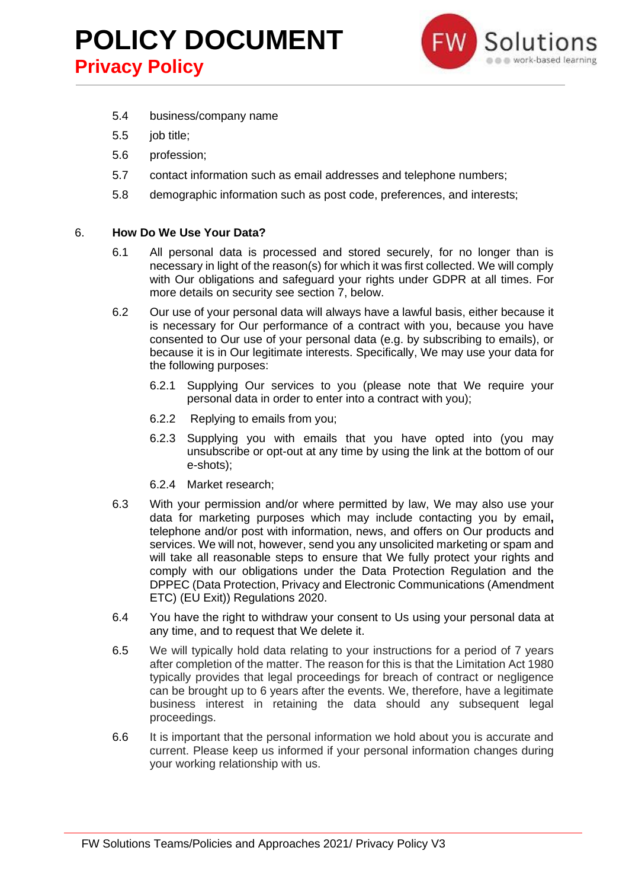

- 5.4 business/company name
- 5.5 job title;
- 5.6 profession;
- 5.7 contact information such as email addresses and telephone numbers;
- 5.8 demographic information such as post code, preferences, and interests;

#### 6. **How Do We Use Your Data?**

- 6.1 All personal data is processed and stored securely, for no longer than is necessary in light of the reason(s) for which it was first collected. We will comply with Our obligations and safeguard your rights under GDPR at all times. For more details on security see section 7, below.
- 6.2 Our use of your personal data will always have a lawful basis, either because it is necessary for Our performance of a contract with you, because you have consented to Our use of your personal data (e.g. by subscribing to emails), or because it is in Our legitimate interests. Specifically, We may use your data for the following purposes:
	- 6.2.1 Supplying Our services to you (please note that We require your personal data in order to enter into a contract with you);
	- 6.2.2 Replying to emails from you;
	- 6.2.3 Supplying you with emails that you have opted into (you may unsubscribe or opt-out at any time by using the link at the bottom of our e-shots);
	- 6.2.4 Market research;
- 6.3 With your permission and/or where permitted by law, We may also use your data for marketing purposes which may include contacting you by email**,** telephone and/or post with information, news, and offers on Our products and services. We will not, however, send you any unsolicited marketing or spam and will take all reasonable steps to ensure that We fully protect your rights and comply with our obligations under the Data Protection Regulation and the DPPEC (Data Protection, Privacy and Electronic Communications (Amendment ETC) (EU Exit)) Regulations 2020.
- 6.4 You have the right to withdraw your consent to Us using your personal data at any time, and to request that We delete it.
- 6.5 We will typically hold data relating to your instructions for a period of 7 years after completion of the matter. The reason for this is that the Limitation Act 1980 typically provides that legal proceedings for breach of contract or negligence can be brought up to 6 years after the events. We, therefore, have a legitimate business interest in retaining the data should any subsequent legal proceedings.
- 6.6 It is important that the personal information we hold about you is accurate and current. Please keep us informed if your personal information changes during your working relationship with us.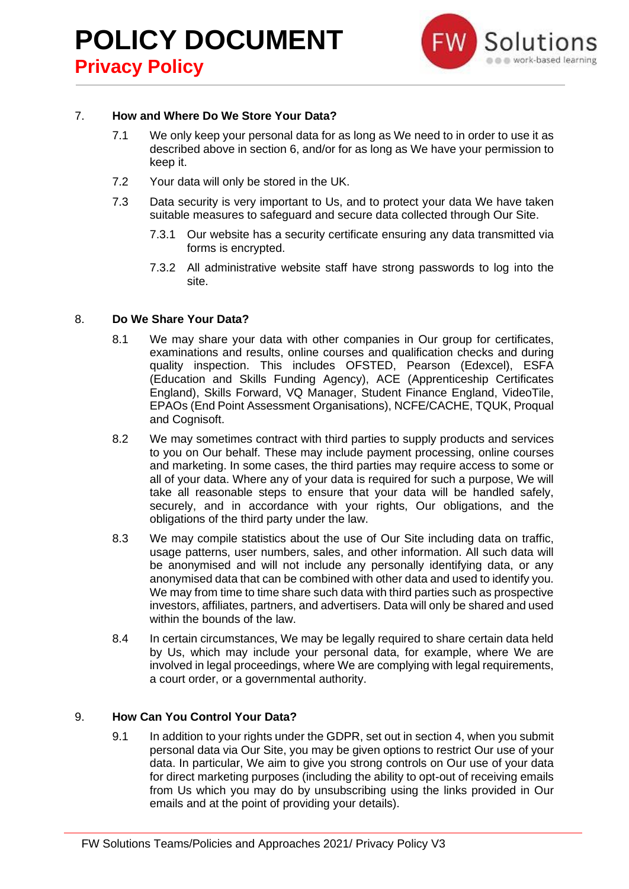

## 7. **How and Where Do We Store Your Data?**

- 7.1 We only keep your personal data for as long as We need to in order to use it as described above in section 6, and/or for as long as We have your permission to keep it.
- 7.2 Your data will only be stored in the UK.
- 7.3 Data security is very important to Us, and to protect your data We have taken suitable measures to safeguard and secure data collected through Our Site.
	- 7.3.1 Our website has a security certificate ensuring any data transmitted via forms is encrypted.
	- 7.3.2 All administrative website staff have strong passwords to log into the site.

## 8. **Do We Share Your Data?**

- 8.1 We may share your data with other companies in Our group for certificates, examinations and results, online courses and qualification checks and during quality inspection. This includes OFSTED, Pearson (Edexcel), ESFA (Education and Skills Funding Agency), ACE (Apprenticeship Certificates England), Skills Forward, VQ Manager, Student Finance England, VideoTile, EPAOs (End Point Assessment Organisations), NCFE/CACHE, TQUK, Proqual and Cognisoft.
- 8.2 We may sometimes contract with third parties to supply products and services to you on Our behalf. These may include payment processing, online courses and marketing. In some cases, the third parties may require access to some or all of your data. Where any of your data is required for such a purpose, We will take all reasonable steps to ensure that your data will be handled safely, securely, and in accordance with your rights, Our obligations, and the obligations of the third party under the law.
- 8.3 We may compile statistics about the use of Our Site including data on traffic, usage patterns, user numbers, sales, and other information. All such data will be anonymised and will not include any personally identifying data, or any anonymised data that can be combined with other data and used to identify you. We may from time to time share such data with third parties such as prospective investors, affiliates, partners, and advertisers. Data will only be shared and used within the bounds of the law.
- 8.4 In certain circumstances, We may be legally required to share certain data held by Us, which may include your personal data, for example, where We are involved in legal proceedings, where We are complying with legal requirements, a court order, or a governmental authority.

## 9. **How Can You Control Your Data?**

9.1 In addition to your rights under the GDPR, set out in section 4, when you submit personal data via Our Site, you may be given options to restrict Our use of your data. In particular, We aim to give you strong controls on Our use of your data for direct marketing purposes (including the ability to opt-out of receiving emails from Us which you may do by unsubscribing using the links provided in Our emails and at the point of providing your details).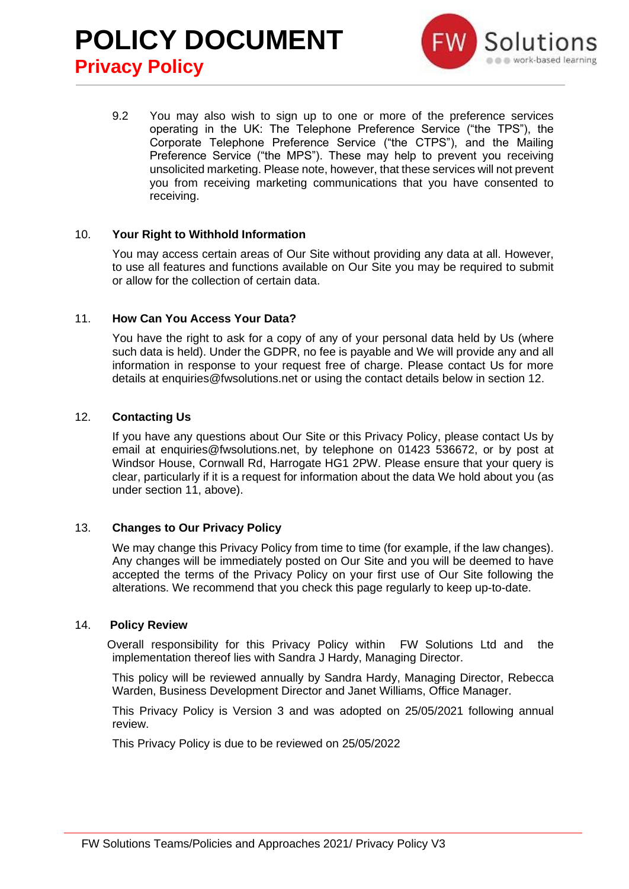

9.2 You may also wish to sign up to one or more of the preference services operating in the UK: The Telephone Preference Service ("the TPS"), the Corporate Telephone Preference Service ("the CTPS"), and the Mailing Preference Service ("the MPS"). These may help to prevent you receiving unsolicited marketing. Please note, however, that these services will not prevent you from receiving marketing communications that you have consented to receiving.

## 10. **Your Right to Withhold Information**

You may access certain areas of Our Site without providing any data at all. However, to use all features and functions available on Our Site you may be required to submit or allow for the collection of certain data.

## 11. **How Can You Access Your Data?**

You have the right to ask for a copy of any of your personal data held by Us (where such data is held). Under the GDPR, no fee is payable and We will provide any and all information in response to your request free of charge. Please contact Us for more details at enquiries@fwsolutions.net or using the contact details below in section 12.

## 12. **Contacting Us**

If you have any questions about Our Site or this Privacy Policy, please contact Us by email at enquiries@fwsolutions.net, by telephone on 01423 536672, or by post at Windsor House, Cornwall Rd, Harrogate HG1 2PW. Please ensure that your query is clear, particularly if it is a request for information about the data We hold about you (as under section 11, above).

## 13. **Changes to Our Privacy Policy**

We may change this Privacy Policy from time to time (for example, if the law changes). Any changes will be immediately posted on Our Site and you will be deemed to have accepted the terms of the Privacy Policy on your first use of Our Site following the alterations. We recommend that you check this page regularly to keep up-to-date.

## 14. **Policy Review**

 Overall responsibility for this Privacy Policy within FW Solutions Ltd and the implementation thereof lies with Sandra J Hardy, Managing Director.

This policy will be reviewed annually by Sandra Hardy, Managing Director, Rebecca Warden, Business Development Director and Janet Williams, Office Manager.

This Privacy Policy is Version 3 and was adopted on 25/05/2021 following annual review.

This Privacy Policy is due to be reviewed on 25/05/2022